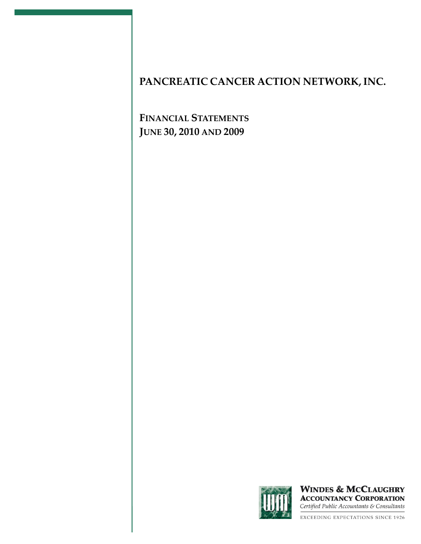**FINANCIAL STATEMENTS JUNE 30, 2010 AND 2009**



**WINDES & MCCLAUGHRY ACCOUNTANCY CORPORATION** Certified Public Accountants & Consultants

EXCEEDING EXPECTATIONS SINCE 1926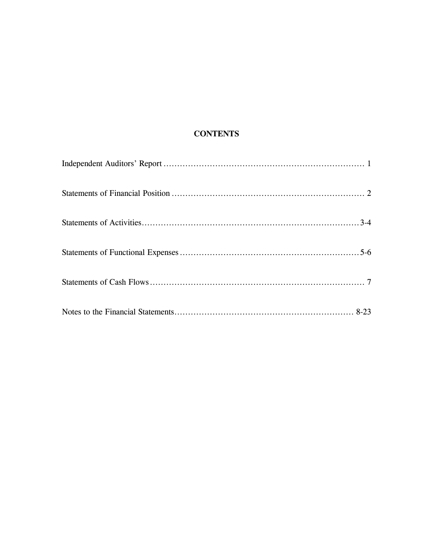## **CONTENTS**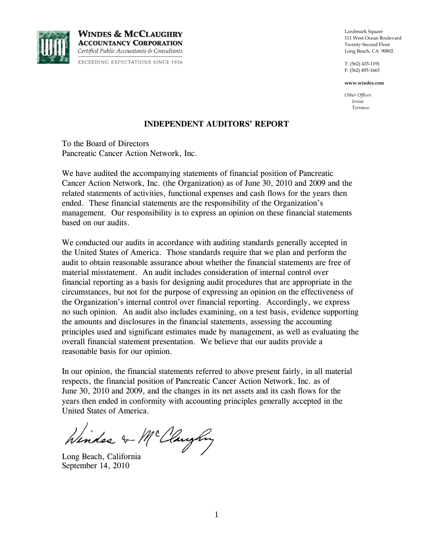

**WINDES & MCCLAUGHRY ACCOUNTANCY CORPORATION** Certified Public Accountants & Consultants **EXCEEDING EXPECTATIONS SINCE 1926** 

Landmark Square 111 West Ocean Boulevard Twenty-Second Floor Long Beach, CA 90802

T: (562) 435-1191 F: (562) 495-1665

**www.windes.com**

*Other Offices: Irvine Torrance*

#### **INDEPENDENT AUDITORS' REPORT**

To the Board of Directors Pancreatic Cancer Action Network, Inc.

We have audited the accompanying statements of financial position of Pancreatic Cancer Action Network, Inc. (the Organization) as of June 30, 2010 and 2009 and the related statements of activities, functional expenses and cash flows for the years then ended. These financial statements are the responsibility of the Organization's management. Our responsibility is to express an opinion on these financial statements based on our audits.

We conducted our audits in accordance with auditing standards generally accepted in the United States of America. Those standards require that we plan and perform the audit to obtain reasonable assurance about whether the financial statements are free of material misstatement. An audit includes consideration of internal control over financial reporting as a basis for designing audit procedures that are appropriate in the circumstances, but not for the purpose of expressing an opinion on the effectiveness of the Organization's internal control over financial reporting. Accordingly, we express no such opinion. An audit also includes examining, on a test basis, evidence supporting the amounts and disclosures in the financial statements, assessing the accounting principles used and significant estimates made by management, as well as evaluating the overall financial statement presentation. We believe that our audits provide a reasonable basis for our opinion.

In our opinion, the financial statements referred to above present fairly, in all material respects, the financial position of Pancreatic Cancer Action Network, Inc. as of June 30, 2010 and 2009, and the changes in its net assets and its cash flows for the years then ended in conformity with accounting principles generally accepted in the United States of America.

Winder & McClaughny

Long Beach, California September 14, 2010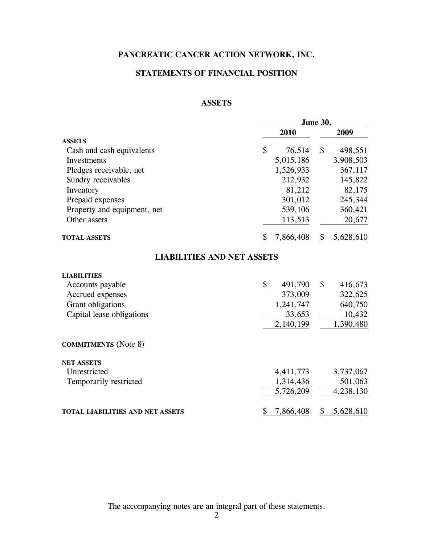## **STATEMENTS OF FINANCIAL POSITION**

### **ASSETS**

|                                         |               | June 30, |           |  |  |  |
|-----------------------------------------|---------------|----------|-----------|--|--|--|
|                                         | 2010          |          | 2009      |  |  |  |
| <b>ASSETS</b>                           |               |          |           |  |  |  |
| Cash and cash equivalents               | \$<br>76,514  | \$       | 498,551   |  |  |  |
| Investments                             | 5,015,186     |          | 3,908,503 |  |  |  |
| Pledges receivable, net                 | 1,526,933     |          | 367,117   |  |  |  |
| Sundry receivables                      | 212,932       |          | 145,822   |  |  |  |
| Inventory                               | 81,212        |          | 82,175    |  |  |  |
| Prepaid expenses                        | 301,012       |          | 245,344   |  |  |  |
| Property and equipment, net             | 539,106       |          | 360,421   |  |  |  |
| Other assets                            | 113,513       |          | 20,677    |  |  |  |
| <b>TOTAL ASSETS</b>                     | 7,866,408     | \$       | 5,628,610 |  |  |  |
| <b>LIABILITIES AND NET ASSETS</b>       |               |          |           |  |  |  |
| <b>LIABILITIES</b>                      |               |          |           |  |  |  |
| Accounts payable                        | \$<br>491,790 | \$       | 416,673   |  |  |  |
| Accrued expenses                        | 373,009       |          | 322,625   |  |  |  |
| Grant obligations                       | 1,241,747     |          | 640,750   |  |  |  |
| Capital lease obligations               | 33,653        |          | 10,432    |  |  |  |
|                                         | 2,140,199     |          | 1,390,480 |  |  |  |
| <b>COMMITMENTS</b> (Note 8)             |               |          |           |  |  |  |
| <b>NET ASSETS</b>                       |               |          |           |  |  |  |
| Unrestricted                            | 4,411,773     |          | 3,737,067 |  |  |  |
| Temporarily restricted                  | 1,314,436     |          | 501,063   |  |  |  |
|                                         | 5,726,209     |          | 4,238,130 |  |  |  |
| <b>TOTAL LIABILITIES AND NET ASSETS</b> | 7,866,408     |          | 5,628,610 |  |  |  |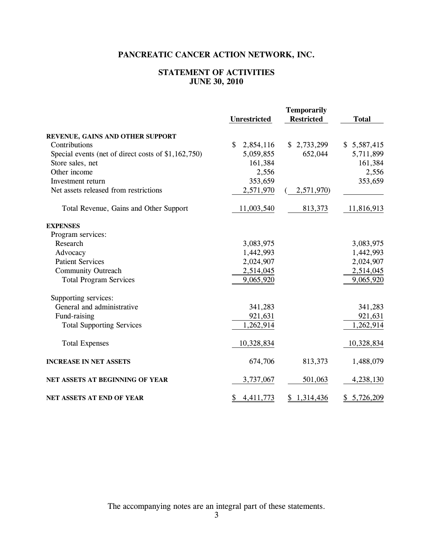## **STATEMENT OF ACTIVITIES JUNE 30, 2010**

|                                                     | <b>Unrestricted</b>       | <b>Temporarily</b><br><b>Restricted</b> | <b>Total</b> |
|-----------------------------------------------------|---------------------------|-----------------------------------------|--------------|
| REVENUE, GAINS AND OTHER SUPPORT                    |                           |                                         |              |
| Contributions                                       | $\mathbb{S}$<br>2,854,116 | \$2,733,299                             | \$5,587,415  |
| Special events (net of direct costs of \$1,162,750) | 5,059,855                 | 652,044                                 | 5,711,899    |
| Store sales, net                                    | 161,384                   |                                         | 161,384      |
| Other income                                        | 2,556                     |                                         | 2,556        |
| Investment return                                   | 353,659                   |                                         | 353,659      |
| Net assets released from restrictions               | 2,571,970                 | 2,571,970)                              |              |
| Total Revenue, Gains and Other Support              | 11,003,540                | 813,373                                 | 11,816,913   |
| <b>EXPENSES</b>                                     |                           |                                         |              |
| Program services:                                   |                           |                                         |              |
| Research                                            | 3,083,975                 |                                         | 3,083,975    |
| Advocacy                                            | 1,442,993                 |                                         | 1,442,993    |
| <b>Patient Services</b>                             | 2,024,907                 |                                         | 2,024,907    |
| <b>Community Outreach</b>                           | 2,514,045                 |                                         | 2,514,045    |
| <b>Total Program Services</b>                       | 9,065,920                 |                                         | 9,065,920    |
| Supporting services:                                |                           |                                         |              |
| General and administrative                          | 341,283                   |                                         | 341,283      |
| Fund-raising                                        | 921,631                   |                                         | 921,631      |
| <b>Total Supporting Services</b>                    | 1,262,914                 |                                         | 1,262,914    |
| <b>Total Expenses</b>                               | 10,328,834                |                                         | 10,328,834   |
| <b>INCREASE IN NET ASSETS</b>                       | 674,706                   | 813,373                                 | 1,488,079    |
| NET ASSETS AT BEGINNING OF YEAR                     | 3,737,067                 | 501,063                                 | 4,238,130    |
| NET ASSETS AT END OF YEAR                           | 4,411,773<br>\$           | \$1,314,436                             | \$5,726,209  |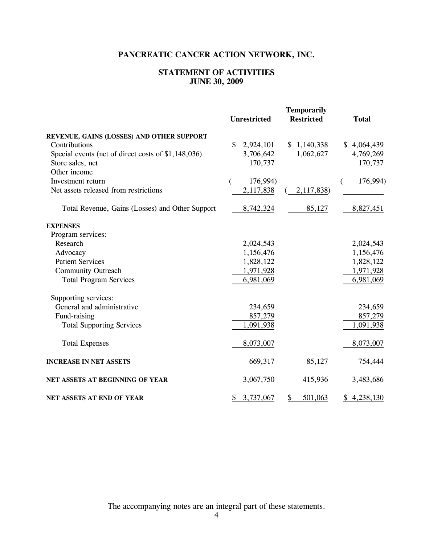## **STATEMENT OF ACTIVITIES JUNE 30, 2009**

|                                                     | <b>Unrestricted</b>       | <b>Temporarily</b><br><b>Restricted</b> | <b>Total</b>    |
|-----------------------------------------------------|---------------------------|-----------------------------------------|-----------------|
| REVENUE, GAINS (LOSSES) AND OTHER SUPPORT           |                           |                                         |                 |
| Contributions                                       | $\mathbb{S}$<br>2,924,101 | \$1,140,338                             | \$4,064,439     |
| Special events (net of direct costs of \$1,148,036) | 3,706,642                 | 1,062,627                               | 4,769,269       |
| Store sales, net                                    | 170,737                   |                                         | 170,737         |
| Other income                                        |                           |                                         |                 |
| Investment return                                   | 176,994)<br>(             |                                         | 176,994)        |
| Net assets released from restrictions               | 2,117,838                 | 2,117,838)                              |                 |
| Total Revenue, Gains (Losses) and Other Support     | 8,742,324                 | 85,127                                  | 8,827,451       |
| <b>EXPENSES</b>                                     |                           |                                         |                 |
| Program services:                                   |                           |                                         |                 |
| Research                                            | 2,024,543                 |                                         | 2,024,543       |
| Advocacy                                            | 1,156,476                 |                                         | 1,156,476       |
| <b>Patient Services</b>                             | 1,828,122                 |                                         | 1,828,122       |
| <b>Community Outreach</b>                           | 1,971,928                 |                                         | 1,971,928       |
| <b>Total Program Services</b>                       | 6,981,069                 |                                         | 6,981,069       |
| Supporting services:                                |                           |                                         |                 |
| General and administrative                          | 234,659                   |                                         | 234,659         |
| Fund-raising                                        | 857,279                   |                                         | 857,279         |
| <b>Total Supporting Services</b>                    | 1,091,938                 |                                         | 1,091,938       |
| <b>Total Expenses</b>                               | 8,073,007                 |                                         | 8,073,007       |
| <b>INCREASE IN NET ASSETS</b>                       | 669,317                   | 85,127                                  | 754,444         |
| NET ASSETS AT BEGINNING OF YEAR                     | 3,067,750                 | 415,936                                 | 3,483,686       |
| NET ASSETS AT END OF YEAR                           | 3,737,067<br>\$           | 501,063<br>\$                           | 4,238,130<br>\$ |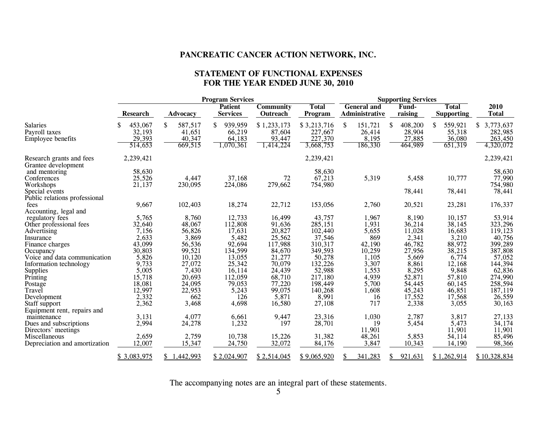#### **STATEMENT OF FUNCTIONAL EXPENSES FOR THE YEAR ENDED JUNE 30, 2010**

|                                                 | <b>Program Services</b> |                 |                                   |                              |                         |                                      | <b>Supporting Services</b> |                  |                                   |                      |  |  |
|-------------------------------------------------|-------------------------|-----------------|-----------------------------------|------------------------------|-------------------------|--------------------------------------|----------------------------|------------------|-----------------------------------|----------------------|--|--|
|                                                 | <b>Research</b>         | Advocacy        | <b>Patient</b><br><b>Services</b> | <b>Community</b><br>Outreach | <b>Total</b><br>Program | <b>General and</b><br>Administrative |                            | Fund-<br>raising | <b>Total</b><br><b>Supporting</b> | 2010<br><b>Total</b> |  |  |
| <b>Salaries</b>                                 | 453,067                 | \$<br>587,517   | \$<br>939,959                     | \$1,233,173                  | \$3,213,716             | <sup>\$</sup>                        | 151,721                    | 408,200<br>\$    | 559,921<br>\$.                    | 3,773,637<br>S.      |  |  |
| Payroll taxes                                   | 32,193                  | 41,651          | 66,219                            | 87,604                       | 227,667                 |                                      | 26,414                     | 28,904           | 55,318                            | 282,985              |  |  |
| Employee benefits                               | 29,393                  | 40,347          | 64,183                            | 93,447                       | 227,370                 |                                      | 8,195                      | 27,885           | 36,080                            | 263,450              |  |  |
|                                                 | 514,653                 | 669,515         | 1,070,361                         | 1,414,224                    | 3,668,753               |                                      | 186,330                    | 464,989          | 651,319                           | 4,320,072            |  |  |
| Research grants and fees<br>Grantee development | 2,239,421               |                 |                                   |                              | 2,239,421               |                                      |                            |                  |                                   | 2,239,421            |  |  |
| and mentoring                                   | 58,630                  |                 |                                   |                              | 58,630                  |                                      |                            |                  |                                   | 58,630               |  |  |
| Conferences                                     | 25,526                  | 4,447           | 37,168                            | 72                           | 67,213                  |                                      | 5,319                      | 5,458            | 10,777                            | 77,990               |  |  |
| Workshops                                       | 21,137                  | 230,095         | 224,086                           | 279,662                      | 754,980                 |                                      |                            |                  |                                   | 754,980              |  |  |
| Special events                                  |                         |                 |                                   |                              |                         |                                      |                            | 78,441           | 78,441                            | 78,441               |  |  |
| Public relations professional                   |                         |                 |                                   |                              |                         |                                      |                            |                  |                                   |                      |  |  |
| fees                                            | 9,667                   | 102,403         | 18,274                            | 22,712                       | 153,056                 |                                      | 2,760                      | 20,521           | 23,281                            | 176,337              |  |  |
| Accounting, legal and                           |                         |                 |                                   |                              |                         |                                      |                            |                  |                                   |                      |  |  |
| regulatory fees                                 | 5,765                   | 8,760           | 12,733                            | 16,499                       | 43,757                  |                                      | 1,967                      | 8,190            | 10,157                            | 53,914               |  |  |
| Other professional fees                         | 32,640                  | 48,067          | 112,808                           | 91,636                       | 285,151                 |                                      | 1,931                      | 36,214           | 38,145                            | 323,296              |  |  |
| Advertising                                     | 7,156                   | 56,826          | 17,631                            | 20,827                       | 102,440                 |                                      | 5,655                      | 11,028           | 16,683                            | 119,123              |  |  |
| Insurance                                       | 2,633                   | 3,869           | 5,482                             | 25,562                       | 37,546                  |                                      | 869                        | 2,341            | 3,210                             | 40,756               |  |  |
| Finance charges                                 | 43,099                  | 56,536          | 92,694                            | 117,988                      | 310,317                 |                                      | 42,190                     | 46,782           | 88,972                            | 399,289              |  |  |
| Occupancy                                       | 30,803                  | 99,521          | 134,599                           | 84,670                       | 349,593                 |                                      | 10,259                     | 27,956           | 38,215                            | 387,808              |  |  |
| Voice and data communication                    | 5,826                   | 10,120          | 13,055                            | 21,277                       | 50,278                  |                                      | 1,105                      | 5,669            | 6,774                             | 57,052               |  |  |
| Information technology                          | 9,733                   | 27,072          | 25,342                            | 70,079                       | 132,226                 |                                      | 3,307                      | 8,861            | 12,168                            | 144,394              |  |  |
|                                                 | 5,005                   | 7,430           | 16,114                            | 24,439                       | 52,988                  |                                      | 1,553                      | 8,295            | 9,848                             | 62,836               |  |  |
| Supplies<br>Printing                            | 15,718                  | 20,693          | 112,059                           | 68,710                       | 217,180                 |                                      | 4,939                      | 52,871           | 57,810                            | 274,990              |  |  |
| Postage                                         | 18,081                  | 24,095          | 79,053                            | 77,220                       | 198,449                 |                                      | 5,700                      | 54,445           | 60,145                            | 258,594              |  |  |
| Travel                                          | 12,997                  | 22,953          | 5,243                             | 99,075                       | 140,268                 |                                      | 1,608                      | 45,243           | 46,851                            | 187,119              |  |  |
| Development                                     | 2,332                   | 662             | 126                               | 5,871                        | 8,991                   |                                      | 16                         | 17,552           | 17,568                            | 26,559               |  |  |
| Staff support                                   | 2,362                   | 3,468           | 4,698                             | 16,580                       | 27,108                  |                                      | 717                        | 2,338            | 3,055                             | 30,163               |  |  |
| Equipment rent, repairs and                     |                         |                 |                                   |                              |                         |                                      |                            |                  |                                   |                      |  |  |
| maintenance                                     | 3,131                   | 4,077           | 6,661                             | 9,447                        | 23,316                  |                                      | 1,030                      | 2,787            | 3,817                             | 27,133               |  |  |
| Dues and subscriptions                          | 2,994                   | 24,278          | 1,232                             | 197                          | 28,701                  |                                      | 19                         | 5,454            | 5,473                             | 34,174               |  |  |
| Directors' meetings                             |                         |                 |                                   |                              |                         |                                      | 11,901                     |                  | 11,901                            | 11,901               |  |  |
| Miscellaneous                                   | 2,659                   | 2,759           | 10,738                            | 15,226                       | 31,382                  |                                      | 48,261                     | 5,853            | 54,114                            | 85,496               |  |  |
| Depreciation and amortization                   | 12,007                  | 15,347          | 24,750                            | 32,072                       | 84,176                  |                                      | 3,847                      | 10,343           | 14,190                            | 98,366               |  |  |
|                                                 | \$3,083,975             | 1,442,993<br>S. | \$2,024,907                       | \$2.514.045                  | \$9,065,920             |                                      | 341,283                    | 921,631<br>S     | \$1,262,914                       | \$10,328,834         |  |  |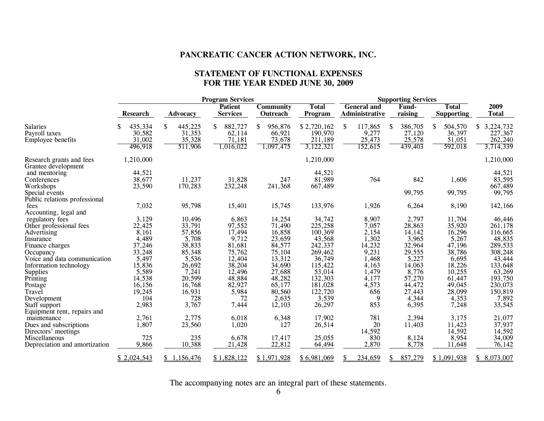#### **STATEMENT OF FUNCTIONAL EXPENSES FOR THE YEAR ENDED JUNE 30, 2009**

|                                                 | <b>Program Services</b> |               |                                   |                              |                         |                                      | <b>Supporting Services</b> |                                   |                      |  |  |  |
|-------------------------------------------------|-------------------------|---------------|-----------------------------------|------------------------------|-------------------------|--------------------------------------|----------------------------|-----------------------------------|----------------------|--|--|--|
|                                                 | <b>Research</b>         | Advocacy      | <b>Patient</b><br><b>Services</b> | <b>Community</b><br>Outreach | <b>Total</b><br>Program | <b>General and</b><br>Administrative | Fund-<br>raising           | <b>Total</b><br><b>Supporting</b> | 2009<br><b>Total</b> |  |  |  |
| <b>Salaries</b>                                 | 435,334                 | \$<br>445,225 | 882,727<br>S.                     | 956,876<br>\$                | \$2,720,162             | 117,865<br>S                         | 386,705<br><sup>\$</sup>   | \$<br>504,570                     | 3,224,732<br>\$      |  |  |  |
| Payroll taxes                                   | 30,582                  | 31,353        | 62,114                            | 66,921                       | 190,970                 | 9,277                                | 27,120                     | 36,397                            | 227,367              |  |  |  |
| Employee benefits                               | 31,002                  | 35,328        | 71,181                            | 73,678                       | 211,189                 | 25,473                               | 25,578                     | 51,051                            | 262,240              |  |  |  |
|                                                 | 496,918                 | 511,906       | 1,016,022                         | 1,097,475                    | 3,122,321               | 152,615                              | 439,403                    | 592,018                           | 3,714,339            |  |  |  |
| Research grants and fees<br>Grantee development | 1,210,000               |               |                                   |                              | 1,210,000               |                                      |                            |                                   | 1,210,000            |  |  |  |
| and mentoring                                   | 44,521                  |               |                                   |                              | 44,521                  |                                      |                            |                                   | 44,521               |  |  |  |
| Conferences                                     | 38,677                  | 11,237        | 31,828                            | 247                          | 81,989                  | 764                                  | 842                        | 1,606                             | 83,595               |  |  |  |
| Workshops                                       | 23,590                  | 170,283       | 232,248                           | 241,368                      | 667,489                 |                                      |                            |                                   | 667,489              |  |  |  |
| Special events                                  |                         |               |                                   |                              |                         |                                      | 99,795                     | 99,795                            | 99,795               |  |  |  |
| Public relations professional                   |                         |               |                                   |                              |                         |                                      |                            |                                   |                      |  |  |  |
| fees                                            | 7,032                   | 95,798        | 15,401                            | 15,745                       | 133,976                 | 1,926                                | 6,264                      | 8,190                             | 142,166              |  |  |  |
| Accounting, legal and                           |                         |               |                                   |                              |                         |                                      |                            |                                   |                      |  |  |  |
| regulatory fees                                 | 3,129                   | 10,496        | 6,863                             | 14,254                       | 34,742                  | 8,907                                | 2,797                      | 11,704                            | 46,446               |  |  |  |
| Other professional fees                         | 22,425                  | 33,791        | 97,552                            | 71,490                       | 225,258                 | 7,057                                | 28,863                     | 35,920                            | 261,178              |  |  |  |
| Advertising                                     | 8,161                   | 57,856        | 17,494                            | 16,858                       | 100,369                 | 2,154                                | 14,142                     | 16,296                            | 116,665              |  |  |  |
| Insurance                                       | 4,489                   | 5,708         | 9,712                             | 23,659                       | 43,568                  | 1,302                                | 3,965                      | 5,267                             | 48,835               |  |  |  |
| Finance charges                                 | 37,246                  | 38,833        | 81,681                            | 84,577                       | 242,337                 | 14,232                               | 32,964                     | 47,196                            | 289,533              |  |  |  |
| Occupancy                                       | 33,248                  | 85,348        | 75,762                            | 75,104                       | 269,462                 | 9,231                                | 29,555                     | 38,786                            | 308,248              |  |  |  |
| Voice and data communication                    | 5,497                   | 5,536         | 12,404                            | 13,312                       | 36,749                  | 1,468                                | 5,227                      | 6,695                             | 43,444               |  |  |  |
| Information technology                          | 15,836                  | 26,692        | 38,204                            | 34,690                       | 115,422                 | 4,163                                | 14,063                     | 18,226                            | 133,648              |  |  |  |
| Supplies<br>Printing                            | 5,589                   | 7,241         | 12,496                            | 27,688                       | 53,014                  | 1,479                                | 8,776                      | 10,255                            | 63,269               |  |  |  |
|                                                 | 14,538                  | 20,599        | 48,884                            | 48,282                       | 132,303                 | 4,177                                | 57,270                     | 61,447                            | 193,750              |  |  |  |
| Postage                                         | 16,156                  | 16,768        | 82,927                            | 65,177                       | 181,028                 | 4,573                                | 44,472                     | 49,045                            | 230,073              |  |  |  |
| Travel                                          | 19,245                  | 16,931        | 5,984                             | 80,560                       | 122,720                 | 656                                  | 27,443                     | 28,099                            | 150,819              |  |  |  |
| Development                                     | 104                     | 728           | 72                                | 2,635                        | 3,539                   | 9                                    | 4,344                      | 4,353                             | 7,892                |  |  |  |
| Staff support                                   | 2,983                   | 3,767         | 7,444                             | 12,103                       | 26,297                  | 853                                  | 6,395                      | 7,248                             | 33,545               |  |  |  |
| Equipment rent, repairs and                     |                         |               |                                   |                              |                         |                                      |                            |                                   |                      |  |  |  |
| maintenance                                     | 2,761                   | 2,775         | 6,018                             | 6,348                        | 17,902                  | 781                                  | 2,394                      | 3,175                             | 21,077               |  |  |  |
| Dues and subscriptions                          | 1,807                   | 23,560        | 1,020                             | 127                          | 26,514                  | 20                                   | 11,403                     | 11,423                            | 37,937               |  |  |  |
| Directors' meetings                             |                         |               |                                   |                              |                         | 14,592                               |                            | 14,592                            | 14,592               |  |  |  |
| Miscellaneous                                   | 725                     | 235           | 6,678                             | 17,417                       | 25,055                  | 830                                  | 8,124                      | 8,954                             | 34,009               |  |  |  |
| Depreciation and amortization                   | 9,866                   | 10,388        | 21,428                            | 22,812                       | 64,494                  | 2,870                                | 8,778                      | 11,648                            | 76,142               |  |  |  |
|                                                 | \$2,024,543             | \$1,156,476   | \$1,828,122                       | \$1,971,928                  | \$6,981,069             | 234,659                              | 857,279                    | \$1,091,938                       | \$8,073,007          |  |  |  |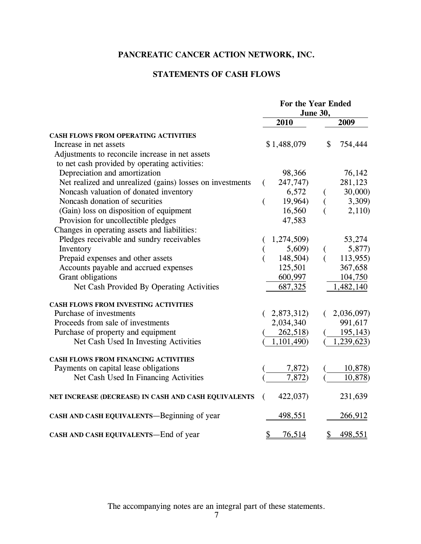## **STATEMENTS OF CASH FLOWS**

|                                                           | For the Year Ended<br>June 30, |                              |  |
|-----------------------------------------------------------|--------------------------------|------------------------------|--|
|                                                           | 2010                           | 2009                         |  |
| CASH FLOWS FROM OPERATING ACTIVITIES                      |                                |                              |  |
| Increase in net assets                                    | \$1,488,079                    | \$<br>754,444                |  |
| Adjustments to reconcile increase in net assets           |                                |                              |  |
| to net cash provided by operating activities:             |                                |                              |  |
| Depreciation and amortization                             | 98,366                         | 76,142                       |  |
| Net realized and unrealized (gains) losses on investments | 247,747)<br>€                  | 281,123                      |  |
| Noncash valuation of donated inventory                    | 6,572                          | 30,000)                      |  |
| Noncash donation of securities                            | 19,964)                        | 3,309)                       |  |
| (Gain) loss on disposition of equipment                   | 16,560                         | 2,110                        |  |
| Provision for uncollectible pledges                       | 47,583                         |                              |  |
| Changes in operating assets and liabilities:              |                                |                              |  |
| Pledges receivable and sundry receivables                 | 1,274,509)                     | 53,274                       |  |
| Inventory                                                 | 5,609)                         | 5,877)<br>$\left($           |  |
| Prepaid expenses and other assets                         | 148,504)                       | 113,955)<br>$\overline{(\ }$ |  |
| Accounts payable and accrued expenses                     | 125,501                        | 367,658                      |  |
| Grant obligations                                         | 600,997                        | 104,750                      |  |
| Net Cash Provided By Operating Activities                 | 687,325                        | 1,482,140                    |  |
| <b>CASH FLOWS FROM INVESTING ACTIVITIES</b>               |                                |                              |  |
| Purchase of investments                                   | 2,873,312)                     | 2,036,097)                   |  |
| Proceeds from sale of investments                         | 2,034,340                      | 991,617                      |  |
| Purchase of property and equipment                        | 262,518)                       | 195,143)                     |  |
| Net Cash Used In Investing Activities                     | 1,101,490)                     | 1,239,623)                   |  |
| <b>CASH FLOWS FROM FINANCING ACTIVITIES</b>               |                                |                              |  |
| Payments on capital lease obligations                     | 7,872)                         | 10,878)                      |  |
| Net Cash Used In Financing Activities                     | 7,872)                         | 10,878)                      |  |
| NET INCREASE (DECREASE) IN CASH AND CASH EQUIVALENTS      | 422,037)<br>€                  | 231,639                      |  |
| CASH AND CASH EQUIVALENTS-Beginning of year               | 498,551                        | 266,912                      |  |
| CASH AND CASH EQUIVALENTS-End of year                     | \$<br>76,514                   | \$<br>498,551                |  |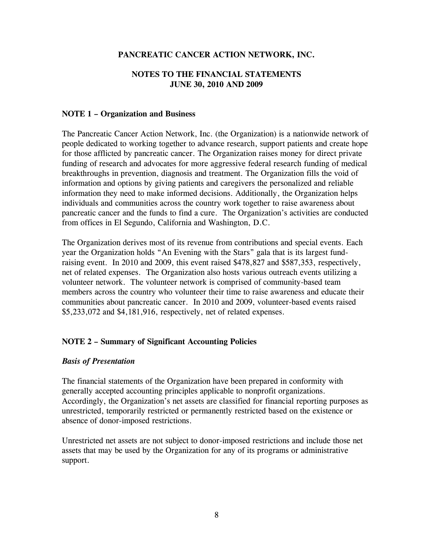## **NOTES TO THE FINANCIAL STATEMENTS JUNE 30, 2010 AND 2009**

## **NOTE 1 – Organization and Business**

The Pancreatic Cancer Action Network, Inc. (the Organization) is a nationwide network of people dedicated to working together to advance research, support patients and create hope for those afflicted by pancreatic cancer. The Organization raises money for direct private funding of research and advocates for more aggressive federal research funding of medical breakthroughs in prevention, diagnosis and treatment. The Organization fills the void of information and options by giving patients and caregivers the personalized and reliable information they need to make informed decisions. Additionally, the Organization helps individuals and communities across the country work together to raise awareness about pancreatic cancer and the funds to find a cure. The Organization's activities are conducted from offices in El Segundo, California and Washington, D.C.

The Organization derives most of its revenue from contributions and special events. Each year the Organization holds "An Evening with the Stars" gala that is its largest fundraising event. In 2010 and 2009, this event raised \$478,827 and \$587,353, respectively, net of related expenses. The Organization also hosts various outreach events utilizing a volunteer network. The volunteer network is comprised of community-based team members across the country who volunteer their time to raise awareness and educate their communities about pancreatic cancer. In 2010 and 2009, volunteer-based events raised \$5,233,072 and \$4,181,916, respectively, net of related expenses.

## **NOTE 2 – Summary of Significant Accounting Policies**

#### *Basis of Presentation*

The financial statements of the Organization have been prepared in conformity with generally accepted accounting principles applicable to nonprofit organizations. Accordingly, the Organization's net assets are classified for financial reporting purposes as unrestricted, temporarily restricted or permanently restricted based on the existence or absence of donor-imposed restrictions.

Unrestricted net assets are not subject to donor-imposed restrictions and include those net assets that may be used by the Organization for any of its programs or administrative support.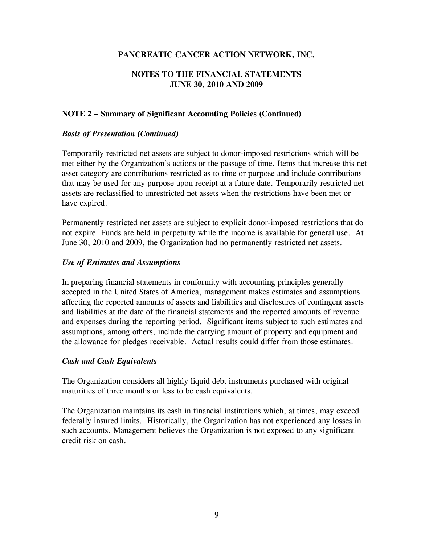## **NOTES TO THE FINANCIAL STATEMENTS JUNE 30, 2010 AND 2009**

## **NOTE 2 – Summary of Significant Accounting Policies (Continued)**

## *Basis of Presentation (Continued)*

Temporarily restricted net assets are subject to donor-imposed restrictions which will be met either by the Organization's actions or the passage of time. Items that increase this net asset category are contributions restricted as to time or purpose and include contributions that may be used for any purpose upon receipt at a future date. Temporarily restricted net assets are reclassified to unrestricted net assets when the restrictions have been met or have expired.

Permanently restricted net assets are subject to explicit donor-imposed restrictions that do not expire. Funds are held in perpetuity while the income is available for general use. At June 30, 2010 and 2009, the Organization had no permanently restricted net assets.

## *Use of Estimates and Assumptions*

In preparing financial statements in conformity with accounting principles generally accepted in the United States of America, management makes estimates and assumptions affecting the reported amounts of assets and liabilities and disclosures of contingent assets and liabilities at the date of the financial statements and the reported amounts of revenue and expenses during the reporting period. Significant items subject to such estimates and assumptions, among others, include the carrying amount of property and equipment and the allowance for pledges receivable. Actual results could differ from those estimates.

## *Cash and Cash Equivalents*

The Organization considers all highly liquid debt instruments purchased with original maturities of three months or less to be cash equivalents.

The Organization maintains its cash in financial institutions which, at times, may exceed federally insured limits. Historically, the Organization has not experienced any losses in such accounts. Management believes the Organization is not exposed to any significant credit risk on cash.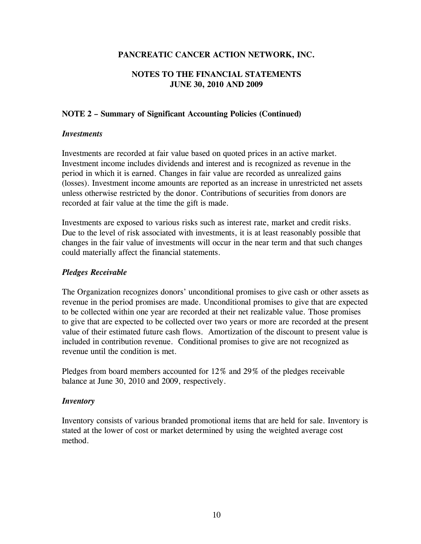## **NOTES TO THE FINANCIAL STATEMENTS JUNE 30, 2010 AND 2009**

## **NOTE 2 – Summary of Significant Accounting Policies (Continued)**

### *Investments*

Investments are recorded at fair value based on quoted prices in an active market. Investment income includes dividends and interest and is recognized as revenue in the period in which it is earned. Changes in fair value are recorded as unrealized gains (losses). Investment income amounts are reported as an increase in unrestricted net assets unless otherwise restricted by the donor. Contributions of securities from donors are recorded at fair value at the time the gift is made.

Investments are exposed to various risks such as interest rate, market and credit risks. Due to the level of risk associated with investments, it is at least reasonably possible that changes in the fair value of investments will occur in the near term and that such changes could materially affect the financial statements.

## *Pledges Receivable*

The Organization recognizes donors' unconditional promises to give cash or other assets as revenue in the period promises are made. Unconditional promises to give that are expected to be collected within one year are recorded at their net realizable value. Those promises to give that are expected to be collected over two years or more are recorded at the present value of their estimated future cash flows. Amortization of the discount to present value is included in contribution revenue. Conditional promises to give are not recognized as revenue until the condition is met.

Pledges from board members accounted for 12% and 29% of the pledges receivable balance at June 30, 2010 and 2009, respectively.

#### *Inventory*

Inventory consists of various branded promotional items that are held for sale. Inventory is stated at the lower of cost or market determined by using the weighted average cost method.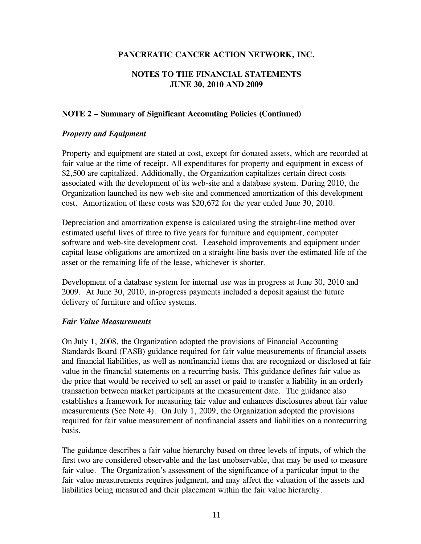## **NOTES TO THE FINANCIAL STATEMENTS JUNE 30, 2010 AND 2009**

## **NOTE 2 – Summary of Significant Accounting Policies (Continued)**

## *Property and Equipment*

Property and equipment are stated at cost, except for donated assets, which are recorded at fair value at the time of receipt. All expenditures for property and equipment in excess of \$2,500 are capitalized. Additionally, the Organization capitalizes certain direct costs associated with the development of its web-site and a database system. During 2010, the Organization launched its new web-site and commenced amortization of this development cost. Amortization of these costs was \$20,672 for the year ended June 30, 2010.

Depreciation and amortization expense is calculated using the straight-line method over estimated useful lives of three to five years for furniture and equipment, computer software and web-site development cost. Leasehold improvements and equipment under capital lease obligations are amortized on a straight-line basis over the estimated life of the asset or the remaining life of the lease, whichever is shorter.

Development of a database system for internal use was in progress at June 30, 2010 and 2009. At June 30, 2010, in-progress payments included a deposit against the future delivery of furniture and office systems.

## *Fair Value Measurements*

On July 1, 2008, the Organization adopted the provisions of Financial Accounting Standards Board (FASB) guidance required for fair value measurements of financial assets and financial liabilities, as well as nonfinancial items that are recognized or disclosed at fair value in the financial statements on a recurring basis. This guidance defines fair value as the price that would be received to sell an asset or paid to transfer a liability in an orderly transaction between market participants at the measurement date. The guidance also establishes a framework for measuring fair value and enhances disclosures about fair value measurements (See Note 4). On July 1, 2009, the Organization adopted the provisions required for fair value measurement of nonfinancial assets and liabilities on a nonrecurring basis.

The guidance describes a fair value hierarchy based on three levels of inputs, of which the first two are considered observable and the last unobservable, that may be used to measure fair value. The Organization's assessment of the significance of a particular input to the fair value measurements requires judgment, and may affect the valuation of the assets and liabilities being measured and their placement within the fair value hierarchy.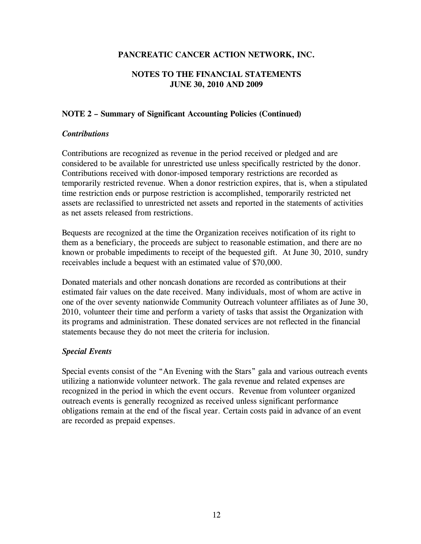## **NOTES TO THE FINANCIAL STATEMENTS JUNE 30, 2010 AND 2009**

## **NOTE 2 – Summary of Significant Accounting Policies (Continued)**

## *Contributions*

Contributions are recognized as revenue in the period received or pledged and are considered to be available for unrestricted use unless specifically restricted by the donor. Contributions received with donor-imposed temporary restrictions are recorded as temporarily restricted revenue. When a donor restriction expires, that is, when a stipulated time restriction ends or purpose restriction is accomplished, temporarily restricted net assets are reclassified to unrestricted net assets and reported in the statements of activities as net assets released from restrictions.

Bequests are recognized at the time the Organization receives notification of its right to them as a beneficiary, the proceeds are subject to reasonable estimation, and there are no known or probable impediments to receipt of the bequested gift. At June 30, 2010, sundry receivables include a bequest with an estimated value of \$70,000.

Donated materials and other noncash donations are recorded as contributions at their estimated fair values on the date received. Many individuals, most of whom are active in one of the over seventy nationwide Community Outreach volunteer affiliates as of June 30, 2010, volunteer their time and perform a variety of tasks that assist the Organization with its programs and administration. These donated services are not reflected in the financial statements because they do not meet the criteria for inclusion.

## *Special Events*

Special events consist of the "An Evening with the Stars" gala and various outreach events utilizing a nationwide volunteer network. The gala revenue and related expenses are recognized in the period in which the event occurs. Revenue from volunteer organized outreach events is generally recognized as received unless significant performance obligations remain at the end of the fiscal year. Certain costs paid in advance of an event are recorded as prepaid expenses.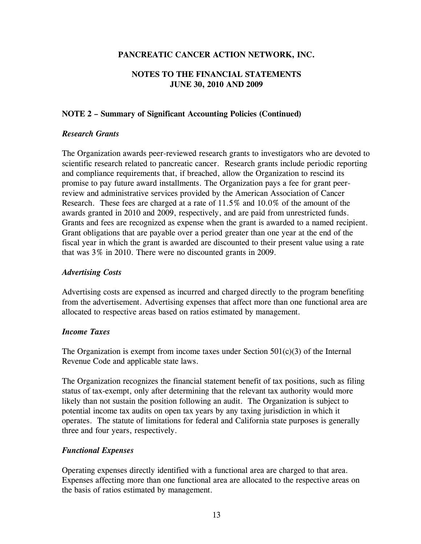## **NOTES TO THE FINANCIAL STATEMENTS JUNE 30, 2010 AND 2009**

## **NOTE 2 – Summary of Significant Accounting Policies (Continued)**

## *Research Grants*

The Organization awards peer-reviewed research grants to investigators who are devoted to scientific research related to pancreatic cancer. Research grants include periodic reporting and compliance requirements that, if breached, allow the Organization to rescind its promise to pay future award installments. The Organization pays a fee for grant peerreview and administrative services provided by the American Association of Cancer Research. These fees are charged at a rate of 11.5% and 10.0% of the amount of the awards granted in 2010 and 2009, respectively, and are paid from unrestricted funds. Grants and fees are recognized as expense when the grant is awarded to a named recipient. Grant obligations that are payable over a period greater than one year at the end of the fiscal year in which the grant is awarded are discounted to their present value using a rate that was 3% in 2010. There were no discounted grants in 2009.

## *Advertising Costs*

Advertising costs are expensed as incurred and charged directly to the program benefiting from the advertisement. Advertising expenses that affect more than one functional area are allocated to respective areas based on ratios estimated by management.

#### *Income Taxes*

The Organization is exempt from income taxes under Section  $501(c)(3)$  of the Internal Revenue Code and applicable state laws.

The Organization recognizes the financial statement benefit of tax positions, such as filing status of tax-exempt, only after determining that the relevant tax authority would more likely than not sustain the position following an audit. The Organization is subject to potential income tax audits on open tax years by any taxing jurisdiction in which it operates. The statute of limitations for federal and California state purposes is generally three and four years, respectively.

## *Functional Expenses*

Operating expenses directly identified with a functional area are charged to that area. Expenses affecting more than one functional area are allocated to the respective areas on the basis of ratios estimated by management.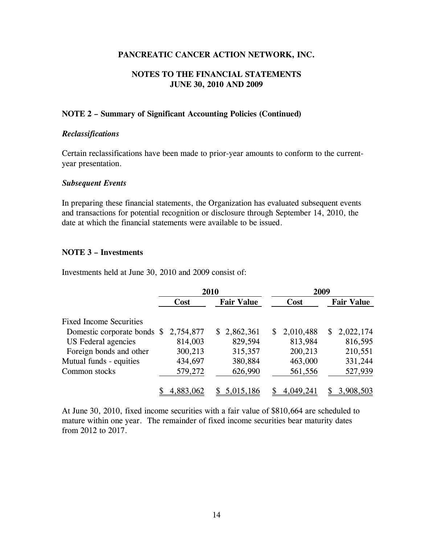### **NOTES TO THE FINANCIAL STATEMENTS JUNE 30, 2010 AND 2009**

#### **NOTE 2 – Summary of Significant Accounting Policies (Continued)**

#### *Reclassifications*

Certain reclassifications have been made to prior-year amounts to conform to the currentyear presentation.

#### *Subsequent Events*

In preparing these financial statements, the Organization has evaluated subsequent events and transactions for potential recognition or disclosure through September 14, 2010, the date at which the financial statements were available to be issued.

#### **NOTE 3 – Investments**

Investments held at June 30, 2010 and 2009 consist of:

|                                | 2010      |  |                   |                |           | 2009 |                   |
|--------------------------------|-----------|--|-------------------|----------------|-----------|------|-------------------|
|                                | Cost      |  | <b>Fair Value</b> |                | Cost      |      | <b>Fair Value</b> |
| <b>Fixed Income Securities</b> |           |  |                   |                |           |      |                   |
| Domestic corporate bonds \$    | 2,754,877 |  | \$2,862,361       | $\mathbb{S}^-$ | 2,010,488 | S.   | 2,022,174         |
| US Federal agencies            | 814,003   |  | 829,594           |                | 813,984   |      | 816,595           |
| Foreign bonds and other        | 300,213   |  | 315,357           |                | 200,213   |      | 210,551           |
| Mutual funds - equities        | 434,697   |  | 380,884           |                | 463,000   |      | 331,244           |
| Common stocks                  | 579,272   |  | 626,990           |                | 561,556   |      | 527,939           |
|                                | 4,883,062 |  | 5,015,186         |                | 4,049,241 |      | 3,908,503         |

At June 30, 2010, fixed income securities with a fair value of \$810,664 are scheduled to mature within one year. The remainder of fixed income securities bear maturity dates from 2012 to 2017.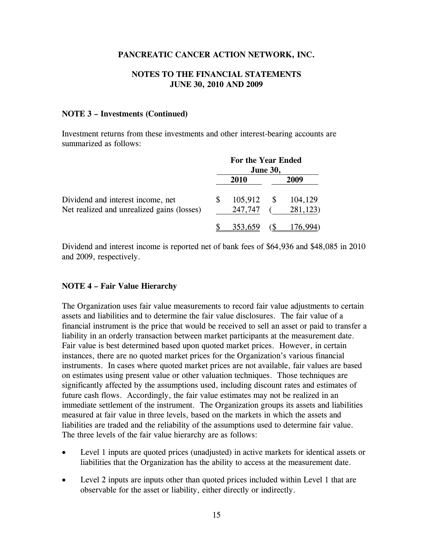## **NOTES TO THE FINANCIAL STATEMENTS JUNE 30, 2010 AND 2009**

#### **NOTE 3 – Investments (Continued)**

Investment returns from these investments and other interest-bearing accounts are summarized as follows:

|                                            | For the Year Ended<br><b>June 30,</b> |             |  |          |  |
|--------------------------------------------|---------------------------------------|-------------|--|----------|--|
|                                            |                                       | <b>2010</b> |  | 2009     |  |
| Dividend and interest income, net          |                                       | 105,912     |  | 104,129  |  |
| Net realized and unrealized gains (losses) |                                       | 247,747     |  | 281,123) |  |
|                                            |                                       | 353,659     |  |          |  |

Dividend and interest income is reported net of bank fees of \$64,936 and \$48,085 in 2010 and 2009, respectively.

#### **NOTE 4 – Fair Value Hierarchy**

The Organization uses fair value measurements to record fair value adjustments to certain assets and liabilities and to determine the fair value disclosures. The fair value of a financial instrument is the price that would be received to sell an asset or paid to transfer a liability in an orderly transaction between market participants at the measurement date. Fair value is best determined based upon quoted market prices. However, in certain instances, there are no quoted market prices for the Organization's various financial instruments. In cases where quoted market prices are not available, fair values are based on estimates using present value or other valuation techniques. Those techniques are significantly affected by the assumptions used, including discount rates and estimates of future cash flows. Accordingly, the fair value estimates may not be realized in an immediate settlement of the instrument. The Organization groups its assets and liabilities measured at fair value in three levels, based on the markets in which the assets and liabilities are traded and the reliability of the assumptions used to determine fair value. The three levels of the fair value hierarchy are as follows:

- Level 1 inputs are quoted prices (unadjusted) in active markets for identical assets or liabilities that the Organization has the ability to access at the measurement date.
- Level 2 inputs are inputs other than quoted prices included within Level 1 that are observable for the asset or liability, either directly or indirectly.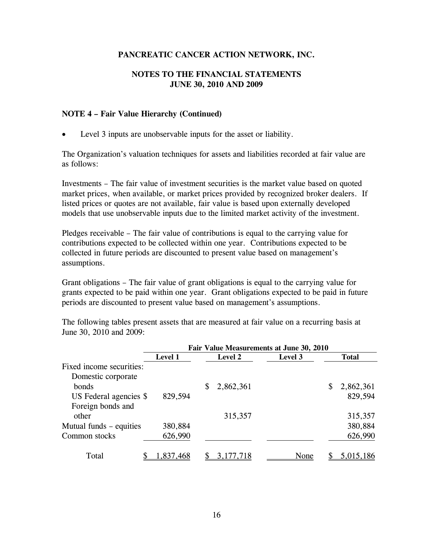## **NOTES TO THE FINANCIAL STATEMENTS JUNE 30, 2010 AND 2009**

#### **NOTE 4 – Fair Value Hierarchy (Continued)**

Level 3 inputs are unobservable inputs for the asset or liability.

The Organization's valuation techniques for assets and liabilities recorded at fair value are as follows:

Investments – The fair value of investment securities is the market value based on quoted market prices, when available, or market prices provided by recognized broker dealers. If listed prices or quotes are not available, fair value is based upon externally developed models that use unobservable inputs due to the limited market activity of the investment.

Pledges receivable – The fair value of contributions is equal to the carrying value for contributions expected to be collected within one year. Contributions expected to be collected in future periods are discounted to present value based on management's assumptions.

Grant obligations – The fair value of grant obligations is equal to the carrying value for grants expected to be paid within one year. Grant obligations expected to be paid in future periods are discounted to present value based on management's assumptions.

The following tables present assets that are measured at fair value on a recurring basis at June 30, 2010 and 2009:

|                          |                | Fair Value Measurements at June 30, 2010 |                |         |    |              |  |  |  |
|--------------------------|----------------|------------------------------------------|----------------|---------|----|--------------|--|--|--|
|                          | <b>Level 1</b> |                                          | <b>Level 2</b> | Level 3 |    | <b>Total</b> |  |  |  |
| Fixed income securities: |                |                                          |                |         |    |              |  |  |  |
| Domestic corporate       |                |                                          |                |         |    |              |  |  |  |
| bonds                    |                | S                                        | 2,862,361      |         | \$ | 2,862,361    |  |  |  |
| US Federal agencies \$   | 829,594        |                                          |                |         |    | 829,594      |  |  |  |
| Foreign bonds and        |                |                                          |                |         |    |              |  |  |  |
| other                    |                |                                          | 315,357        |         |    | 315,357      |  |  |  |
| Mutual funds – equities  | 380,884        |                                          |                |         |    | 380,884      |  |  |  |
| Common stocks            | 626,990        |                                          |                |         |    | 626,990      |  |  |  |
|                          |                |                                          |                |         |    |              |  |  |  |
| Total                    | 1,837,468      |                                          | 3, 177, 718    | None    |    | 5,015,186    |  |  |  |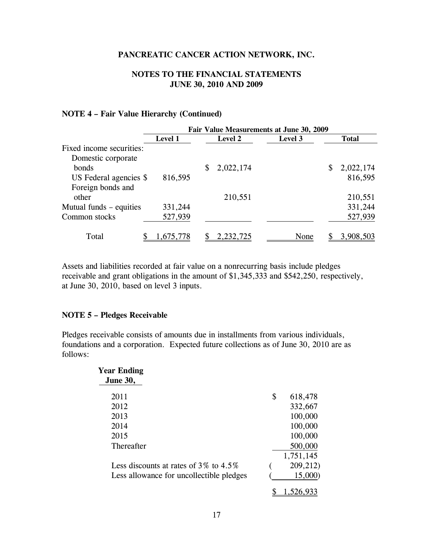## **NOTES TO THE FINANCIAL STATEMENTS JUNE 30, 2010 AND 2009**

#### **NOTE 4 – Fair Value Hierarchy (Continued)**

|                          | Fair Value Measurements at June 30, 2009 |   |                |         |   |              |  |  |
|--------------------------|------------------------------------------|---|----------------|---------|---|--------------|--|--|
|                          | <b>Level 1</b>                           |   | <b>Level 2</b> | Level 3 |   | <b>Total</b> |  |  |
| Fixed income securities: |                                          |   |                |         |   |              |  |  |
| Domestic corporate       |                                          |   |                |         |   |              |  |  |
| bonds                    |                                          | S | 2,022,174      |         | S | 2,022,174    |  |  |
| US Federal agencies \$   | 816,595                                  |   |                |         |   | 816,595      |  |  |
| Foreign bonds and        |                                          |   |                |         |   |              |  |  |
| other                    |                                          |   | 210,551        |         |   | 210,551      |  |  |
| Mutual funds – equities  | 331,244                                  |   |                |         |   | 331,244      |  |  |
| Common stocks            | 527,939                                  |   |                |         |   | 527,939      |  |  |
|                          |                                          |   |                |         |   |              |  |  |
| Total                    | 1,675,778                                |   | 2,232,725      | None    |   | 3,908,503    |  |  |

Assets and liabilities recorded at fair value on a nonrecurring basis include pledges receivable and grant obligations in the amount of \$1,345,333 and \$542,250, respectively, at June 30, 2010, based on level 3 inputs.

#### **NOTE 5 – Pledges Receivable**

Pledges receivable consists of amounts due in installments from various individuals, foundations and a corporation. Expected future collections as of June 30, 2010 are as follows:

| Year Ending                                 |   |           |
|---------------------------------------------|---|-----------|
| <b>June 30,</b>                             |   |           |
| 2011                                        | S | 618,478   |
| 2012                                        |   | 332,667   |
| 2013                                        |   | 100,000   |
| 2014                                        |   | 100,000   |
| 2015                                        |   | 100,000   |
| Thereafter                                  |   | 500,000   |
|                                             |   | 1,751,145 |
| Less discounts at rates of $3\%$ to $4.5\%$ |   | 209,212)  |
| Less allowance for uncollectible pledges    |   | 15,000)   |
|                                             |   | 520.933   |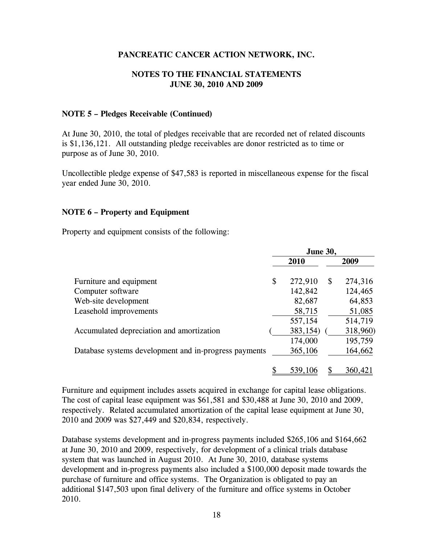## **NOTES TO THE FINANCIAL STATEMENTS JUNE 30, 2010 AND 2009**

#### **NOTE 5 – Pledges Receivable (Continued)**

At June 30, 2010, the total of pledges receivable that are recorded net of related discounts is \$1,136,121. All outstanding pledge receivables are donor restricted as to time or purpose as of June 30, 2010.

Uncollectible pledge expense of \$47,583 is reported in miscellaneous expense for the fiscal year ended June 30, 2010.

#### **NOTE 6 – Property and Equipment**

Property and equipment consists of the following:

|                                                       | <b>June 30,</b> |              |          |
|-------------------------------------------------------|-----------------|--------------|----------|
|                                                       | 2010            |              | 2009     |
| Furniture and equipment                               | \$<br>272,910   | $\mathbb{S}$ | 274,316  |
| Computer software                                     | 142,842         |              | 124,465  |
| Web-site development                                  | 82,687          |              | 64,853   |
| Leasehold improvements                                | 58,715          |              | 51,085   |
|                                                       | 557,154         |              | 514,719  |
| Accumulated depreciation and amortization             | 383,154)        |              | 318,960) |
|                                                       | 174,000         |              | 195,759  |
| Database systems development and in-progress payments | 365,106         |              | 164,662  |
|                                                       | 539,10          |              | 360,421  |

Furniture and equipment includes assets acquired in exchange for capital lease obligations. The cost of capital lease equipment was \$61,581 and \$30,488 at June 30, 2010 and 2009, respectively. Related accumulated amortization of the capital lease equipment at June 30, 2010 and 2009 was \$27,449 and \$20,834, respectively.

Database systems development and in-progress payments included \$265,106 and \$164,662 at June 30, 2010 and 2009, respectively, for development of a clinical trials database system that was launched in August 2010. At June 30, 2010, database systems development and in-progress payments also included a \$100,000 deposit made towards the purchase of furniture and office systems. The Organization is obligated to pay an additional \$147,503 upon final delivery of the furniture and office systems in October 2010.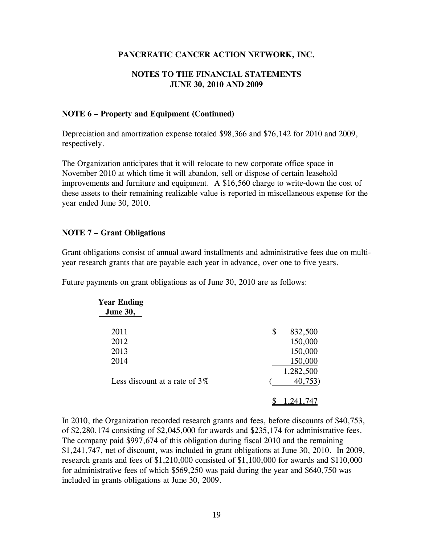## **NOTES TO THE FINANCIAL STATEMENTS JUNE 30, 2010 AND 2009**

#### **NOTE 6 – Property and Equipment (Continued)**

Depreciation and amortization expense totaled \$98,366 and \$76,142 for 2010 and 2009, respectively.

The Organization anticipates that it will relocate to new corporate office space in November 2010 at which time it will abandon, sell or dispose of certain leasehold improvements and furniture and equipment. A \$16,560 charge to write-down the cost of these assets to their remaining realizable value is reported in miscellaneous expense for the year ended June 30, 2010.

## **NOTE 7 – Grant Obligations**

Grant obligations consist of annual award installments and administrative fees due on multiyear research grants that are payable each year in advance, over one to five years.

Future payments on grant obligations as of June 30, 2010 are as follows:

| Year Ending                      |               |
|----------------------------------|---------------|
| <b>June 30,</b>                  |               |
| 2011                             | \$<br>832,500 |
| 2012                             | 150,000       |
| 2013                             | 150,000       |
| 2014                             | 150,000       |
|                                  | 1,282,500     |
| Less discount at a rate of $3\%$ | 40,753        |
|                                  | 1,241,7       |

In 2010, the Organization recorded research grants and fees, before discounts of \$40,753, of \$2,280,174 consisting of \$2,045,000 for awards and \$235,174 for administrative fees. The company paid \$997,674 of this obligation during fiscal 2010 and the remaining \$1,241,747, net of discount, was included in grant obligations at June 30, 2010. In 2009, research grants and fees of \$1,210,000 consisted of \$1,100,000 for awards and \$110,000 for administrative fees of which \$569,250 was paid during the year and \$640,750 was included in grants obligations at June 30, 2009.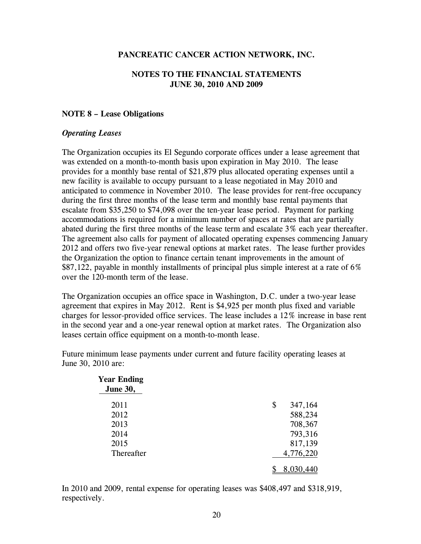#### **NOTES TO THE FINANCIAL STATEMENTS JUNE 30, 2010 AND 2009**

#### **NOTE 8 – Lease Obligations**

#### *Operating Leases*

The Organization occupies its El Segundo corporate offices under a lease agreement that was extended on a month-to-month basis upon expiration in May 2010. The lease provides for a monthly base rental of \$21,879 plus allocated operating expenses until a new facility is available to occupy pursuant to a lease negotiated in May 2010 and anticipated to commence in November 2010. The lease provides for rent-free occupancy during the first three months of the lease term and monthly base rental payments that escalate from \$35,250 to \$74,098 over the ten-year lease period. Payment for parking accommodations is required for a minimum number of spaces at rates that are partially abated during the first three months of the lease term and escalate 3% each year thereafter. The agreement also calls for payment of allocated operating expenses commencing January 2012 and offers two five-year renewal options at market rates. The lease further provides the Organization the option to finance certain tenant improvements in the amount of \$87,122, payable in monthly installments of principal plus simple interest at a rate of 6% over the 120-month term of the lease.

The Organization occupies an office space in Washington, D.C. under a two-year lease agreement that expires in May 2012. Rent is \$4,925 per month plus fixed and variable charges for lessor-provided office services. The lease includes a 12% increase in base rent in the second year and a one-year renewal option at market rates. The Organization also leases certain office equipment on a month-to-month lease.

Future minimum lease payments under current and future facility operating leases at June 30, 2010 are:

| <b>Year Ending</b><br><b>June 30,</b> |               |
|---------------------------------------|---------------|
| 2011                                  | \$<br>347,164 |
| 2012                                  | 588,234       |
| 2013                                  | 708,367       |
| 2014                                  | 793,316       |
| 2015                                  | 817,139       |
| Thereafter                            | 4,776,220     |
|                                       | 8,030,440     |

In 2010 and 2009, rental expense for operating leases was \$408,497 and \$318,919, respectively.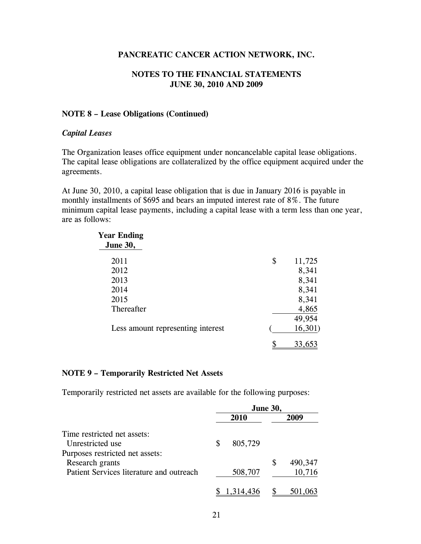#### **NOTES TO THE FINANCIAL STATEMENTS JUNE 30, 2010 AND 2009**

#### **NOTE 8 – Lease Obligations (Continued)**

#### *Capital Leases*

The Organization leases office equipment under noncancelable capital lease obligations. The capital lease obligations are collateralized by the office equipment acquired under the agreements.

At June 30, 2010, a capital lease obligation that is due in January 2016 is payable in monthly installments of \$695 and bears an imputed interest rate of 8%. The future minimum capital lease payments, including a capital lease with a term less than one year, are as follows:

| <b>Year Ending</b>                |              |
|-----------------------------------|--------------|
| <b>June 30,</b>                   |              |
| 2011                              | \$<br>11,725 |
| 2012                              | 8,341        |
| 2013                              | 8,341        |
| 2014                              | 8,341        |
| 2015                              | 8,341        |
| Thereafter                        | 4,865        |
|                                   | 49,954       |
| Less amount representing interest | 16,301)      |
|                                   | 33.6         |

#### **NOTE 9 – Temporarily Restricted Net Assets**

Temporarily restricted net assets are available for the following purposes:

|                                          | June 30, |             |    |         |
|------------------------------------------|----------|-------------|----|---------|
|                                          |          | <b>2010</b> |    | 2009    |
| Time restricted net assets:              |          |             |    |         |
| Unrestricted use                         | S        | 805,729     |    |         |
| Purposes restricted net assets:          |          |             |    |         |
| Research grants                          |          |             | \$ | 490,347 |
| Patient Services literature and outreach |          | 508,707     |    | 10,716  |
|                                          |          | 1,314,436   |    | 501,063 |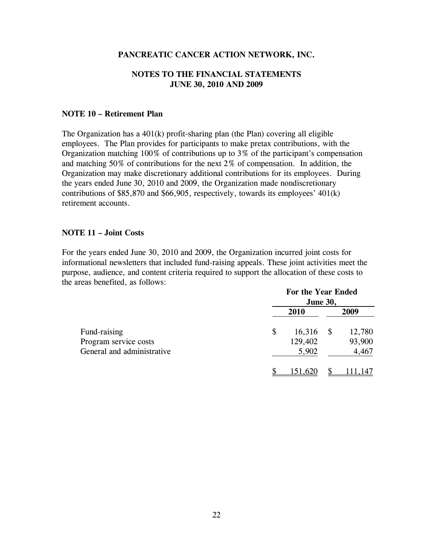## **NOTES TO THE FINANCIAL STATEMENTS JUNE 30, 2010 AND 2009**

#### **NOTE 10 – Retirement Plan**

The Organization has a  $401(k)$  profit-sharing plan (the Plan) covering all eligible employees. The Plan provides for participants to make pretax contributions, with the Organization matching 100% of contributions up to 3% of the participant's compensation and matching 50% of contributions for the next 2% of compensation. In addition, the Organization may make discretionary additional contributions for its employees. During the years ended June 30, 2010 and 2009, the Organization made nondiscretionary contributions of \$85,870 and \$66,905, respectively, towards its employees' 401(k) retirement accounts.

#### **NOTE 11 – Joint Costs**

For the years ended June 30, 2010 and 2009, the Organization incurred joint costs for informational newsletters that included fund-raising appeals. These joint activities meet the purpose, audience, and content criteria required to support the allocation of these costs to the areas benefited, as follows:

|                            | For the Year Ended<br><b>June 30,</b> |         |    |         |
|----------------------------|---------------------------------------|---------|----|---------|
|                            |                                       |         |    |         |
|                            |                                       | 2010    |    | 2009    |
| Fund-raising               | \$                                    | 16,316  | \$ | 12,780  |
| Program service costs      |                                       | 129,402 |    | 93,900  |
| General and administrative |                                       | 5,902   |    | 4,467   |
|                            |                                       | 151,620 |    | 111,147 |